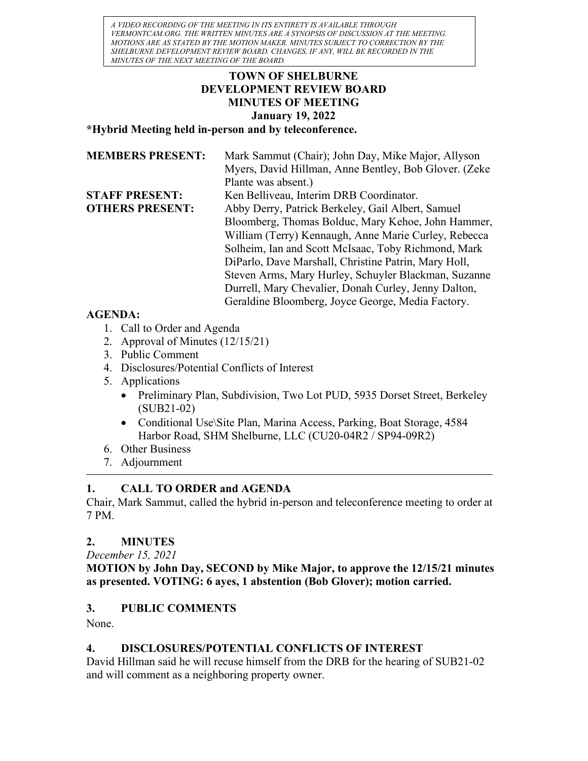A VIDEO RECORDING OF THE MEETING IN ITS ENTIRETY IS AVAILABLE THROUGH VERMONTCAM.ORG. THE WRITTEN MINUTES ARE A SYNOPSIS OF DISCUSSION AT THE MEETING. MOTIONS ARE AS STATED BY THE MOTION MAKER. MINUTES SUBJECT TO CORRECTION BY THE SHELBURNE DEVELOPMENT REVIEW BOARD. CHANGES, IF ANY, WILL BE RECORDED IN THE MINUTES OF THE NEXT MEETING OF THE BOARD.

### TOWN OF SHELBURNE DEVELOPMENT REVIEW BOARD MINUTES OF MEETING January 19, 2022

\*Hybrid Meeting held in-person and by teleconference.

| <b>MEMBERS PRESENT:</b> | Mark Sammut (Chair); John Day, Mike Major, Allyson    |
|-------------------------|-------------------------------------------------------|
|                         | Myers, David Hillman, Anne Bentley, Bob Glover. (Zeke |
|                         | Plante was absent.)                                   |
| <b>STAFF PRESENT:</b>   | Ken Belliveau, Interim DRB Coordinator.               |
| <b>OTHERS PRESENT:</b>  | Abby Derry, Patrick Berkeley, Gail Albert, Samuel     |
|                         | Bloomberg, Thomas Bolduc, Mary Kehoe, John Hammer,    |
|                         | William (Terry) Kennaugh, Anne Marie Curley, Rebecca  |
|                         | Solheim, Ian and Scott McIsaac, Toby Richmond, Mark   |
|                         | DiParlo, Dave Marshall, Christine Patrin, Mary Holl,  |
|                         | Steven Arms, Mary Hurley, Schuyler Blackman, Suzanne  |
|                         | Durrell, Mary Chevalier, Donah Curley, Jenny Dalton,  |
|                         | Geraldine Bloomberg, Joyce George, Media Factory.     |

### AGENDA:

- 1. Call to Order and Agenda
- 2. Approval of Minutes (12/15/21)
- 3. Public Comment
- 4. Disclosures/Potential Conflicts of Interest
- 5. Applications
	- Preliminary Plan, Subdivision, Two Lot PUD, 5935 Dorset Street, Berkeley (SUB21-02)
	- Conditional Use\Site Plan, Marina Access, Parking, Boat Storage, 4584 Harbor Road, SHM Shelburne, LLC (CU20-04R2 / SP94-09R2)
- 6. Other Business
- 7. Adjournment

# 1. CALL TO ORDER and AGENDA

Chair, Mark Sammut, called the hybrid in-person and teleconference meeting to order at 7 PM.

# 2. MINUTES

December 15, 2021

MOTION by John Day, SECOND by Mike Major, to approve the 12/15/21 minutes as presented. VOTING: 6 ayes, 1 abstention (Bob Glover); motion carried.

# 3. PUBLIC COMMENTS

None.

# 4. DISCLOSURES/POTENTIAL CONFLICTS OF INTEREST

David Hillman said he will recuse himself from the DRB for the hearing of SUB21-02 and will comment as a neighboring property owner.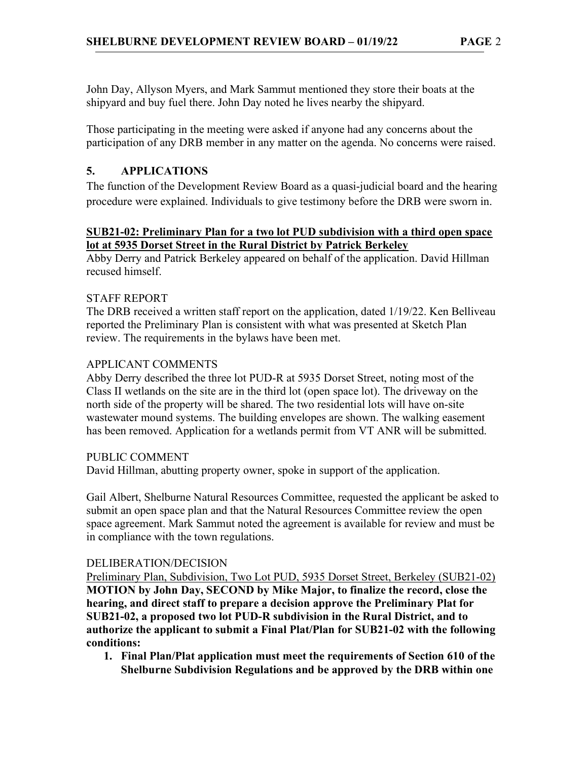John Day, Allyson Myers, and Mark Sammut mentioned they store their boats at the shipyard and buy fuel there. John Day noted he lives nearby the shipyard.

Those participating in the meeting were asked if anyone had any concerns about the participation of any DRB member in any matter on the agenda. No concerns were raised.

# 5. APPLICATIONS

The function of the Development Review Board as a quasi-judicial board and the hearing procedure were explained. Individuals to give testimony before the DRB were sworn in.

### SUB21-02: Preliminary Plan for a two lot PUD subdivision with a third open space lot at 5935 Dorset Street in the Rural District by Patrick Berkeley

Abby Derry and Patrick Berkeley appeared on behalf of the application. David Hillman recused himself.

### STAFF REPORT

The DRB received a written staff report on the application, dated 1/19/22. Ken Belliveau reported the Preliminary Plan is consistent with what was presented at Sketch Plan review. The requirements in the bylaws have been met.

### APPLICANT COMMENTS

Abby Derry described the three lot PUD-R at 5935 Dorset Street, noting most of the Class II wetlands on the site are in the third lot (open space lot). The driveway on the north side of the property will be shared. The two residential lots will have on-site wastewater mound systems. The building envelopes are shown. The walking easement has been removed. Application for a wetlands permit from VT ANR will be submitted.

### PUBLIC COMMENT

David Hillman, abutting property owner, spoke in support of the application.

Gail Albert, Shelburne Natural Resources Committee, requested the applicant be asked to submit an open space plan and that the Natural Resources Committee review the open space agreement. Mark Sammut noted the agreement is available for review and must be in compliance with the town regulations.

### DELIBERATION/DECISION

Preliminary Plan, Subdivision, Two Lot PUD, 5935 Dorset Street, Berkeley (SUB21-02) MOTION by John Day, SECOND by Mike Major, to finalize the record, close the hearing, and direct staff to prepare a decision approve the Preliminary Plat for SUB21-02, a proposed two lot PUD-R subdivision in the Rural District, and to authorize the applicant to submit a Final Plat/Plan for SUB21-02 with the following conditions:

1. Final Plan/Plat application must meet the requirements of Section 610 of the Shelburne Subdivision Regulations and be approved by the DRB within one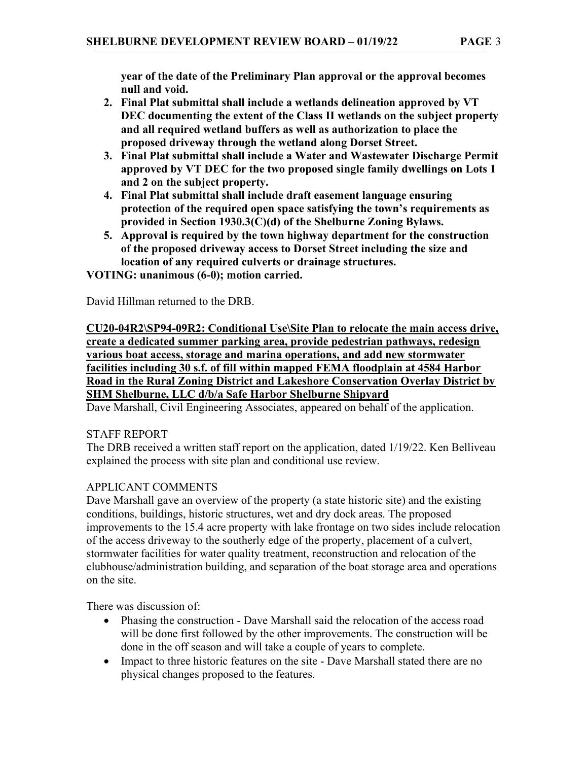year of the date of the Preliminary Plan approval or the approval becomes null and void.

- 2. Final Plat submittal shall include a wetlands delineation approved by VT DEC documenting the extent of the Class II wetlands on the subject property and all required wetland buffers as well as authorization to place the proposed driveway through the wetland along Dorset Street.
- 3. Final Plat submittal shall include a Water and Wastewater Discharge Permit approved by VT DEC for the two proposed single family dwellings on Lots 1 and 2 on the subject property.
- 4. Final Plat submittal shall include draft easement language ensuring protection of the required open space satisfying the town's requirements as provided in Section 1930.3(C)(d) of the Shelburne Zoning Bylaws.
- 5. Approval is required by the town highway department for the construction of the proposed driveway access to Dorset Street including the size and location of any required culverts or drainage structures.

VOTING: unanimous (6-0); motion carried.

David Hillman returned to the DRB.

CU20-04R2\SP94-09R2: Conditional Use\Site Plan to relocate the main access drive, create a dedicated summer parking area, provide pedestrian pathways, redesign various boat access, storage and marina operations, and add new stormwater facilities including 30 s.f. of fill within mapped FEMA floodplain at 4584 Harbor Road in the Rural Zoning District and Lakeshore Conservation Overlay District by SHM Shelburne, LLC d/b/a Safe Harbor Shelburne Shipyard

Dave Marshall, Civil Engineering Associates, appeared on behalf of the application.

### STAFF REPORT

The DRB received a written staff report on the application, dated 1/19/22. Ken Belliveau explained the process with site plan and conditional use review.

### APPLICANT COMMENTS

Dave Marshall gave an overview of the property (a state historic site) and the existing conditions, buildings, historic structures, wet and dry dock areas. The proposed improvements to the 15.4 acre property with lake frontage on two sides include relocation of the access driveway to the southerly edge of the property, placement of a culvert, stormwater facilities for water quality treatment, reconstruction and relocation of the clubhouse/administration building, and separation of the boat storage area and operations on the site.

There was discussion of:

- Phasing the construction Dave Marshall said the relocation of the access road will be done first followed by the other improvements. The construction will be done in the off season and will take a couple of years to complete.
- Impact to three historic features on the site Dave Marshall stated there are no physical changes proposed to the features.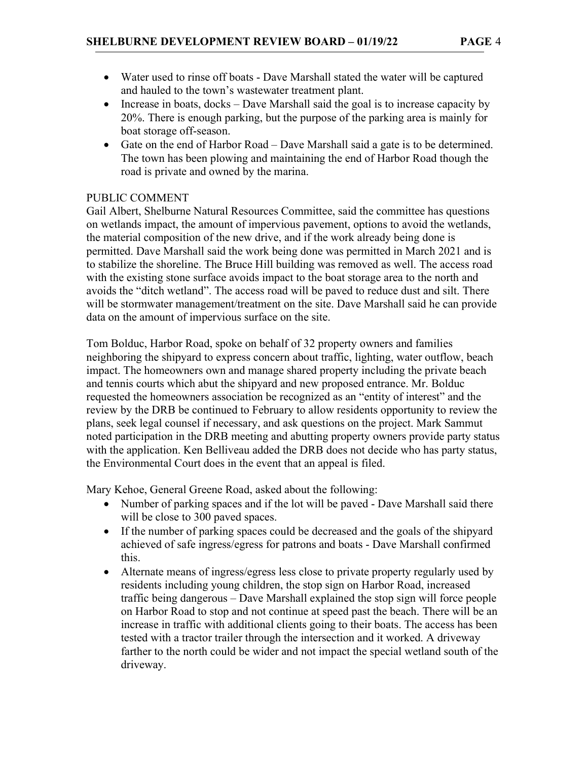- Water used to rinse off boats Dave Marshall stated the water will be captured and hauled to the town's wastewater treatment plant.
- Increase in boats,  $d$ ocks Dave Marshall said the goal is to increase capacity by 20%. There is enough parking, but the purpose of the parking area is mainly for boat storage off-season.
- Gate on the end of Harbor Road Dave Marshall said a gate is to be determined. The town has been plowing and maintaining the end of Harbor Road though the road is private and owned by the marina.

#### PUBLIC COMMENT

Gail Albert, Shelburne Natural Resources Committee, said the committee has questions on wetlands impact, the amount of impervious pavement, options to avoid the wetlands, the material composition of the new drive, and if the work already being done is permitted. Dave Marshall said the work being done was permitted in March 2021 and is to stabilize the shoreline. The Bruce Hill building was removed as well. The access road with the existing stone surface avoids impact to the boat storage area to the north and avoids the "ditch wetland". The access road will be paved to reduce dust and silt. There will be stormwater management/treatment on the site. Dave Marshall said he can provide data on the amount of impervious surface on the site.

Tom Bolduc, Harbor Road, spoke on behalf of 32 property owners and families neighboring the shipyard to express concern about traffic, lighting, water outflow, beach impact. The homeowners own and manage shared property including the private beach and tennis courts which abut the shipyard and new proposed entrance. Mr. Bolduc requested the homeowners association be recognized as an "entity of interest" and the review by the DRB be continued to February to allow residents opportunity to review the plans, seek legal counsel if necessary, and ask questions on the project. Mark Sammut noted participation in the DRB meeting and abutting property owners provide party status with the application. Ken Belliveau added the DRB does not decide who has party status, the Environmental Court does in the event that an appeal is filed.

Mary Kehoe, General Greene Road, asked about the following:

- Number of parking spaces and if the lot will be paved Dave Marshall said there will be close to 300 paved spaces.
- If the number of parking spaces could be decreased and the goals of the shipyard achieved of safe ingress/egress for patrons and boats - Dave Marshall confirmed this.
- Alternate means of ingress/egress less close to private property regularly used by residents including young children, the stop sign on Harbor Road, increased traffic being dangerous – Dave Marshall explained the stop sign will force people on Harbor Road to stop and not continue at speed past the beach. There will be an increase in traffic with additional clients going to their boats. The access has been tested with a tractor trailer through the intersection and it worked. A driveway farther to the north could be wider and not impact the special wetland south of the driveway.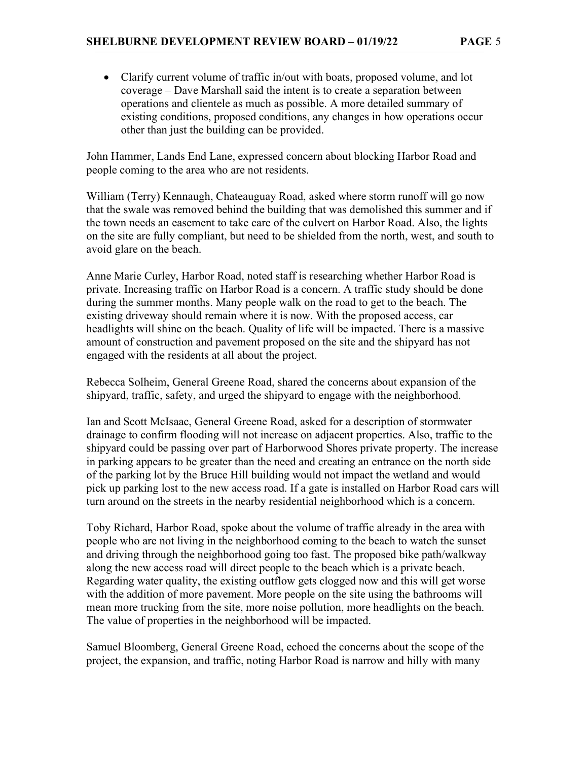Clarify current volume of traffic in/out with boats, proposed volume, and lot coverage – Dave Marshall said the intent is to create a separation between operations and clientele as much as possible. A more detailed summary of existing conditions, proposed conditions, any changes in how operations occur other than just the building can be provided.

John Hammer, Lands End Lane, expressed concern about blocking Harbor Road and people coming to the area who are not residents.

William (Terry) Kennaugh, Chateauguay Road, asked where storm runoff will go now that the swale was removed behind the building that was demolished this summer and if the town needs an easement to take care of the culvert on Harbor Road. Also, the lights on the site are fully compliant, but need to be shielded from the north, west, and south to avoid glare on the beach.

Anne Marie Curley, Harbor Road, noted staff is researching whether Harbor Road is private. Increasing traffic on Harbor Road is a concern. A traffic study should be done during the summer months. Many people walk on the road to get to the beach. The existing driveway should remain where it is now. With the proposed access, car headlights will shine on the beach. Quality of life will be impacted. There is a massive amount of construction and pavement proposed on the site and the shipyard has not engaged with the residents at all about the project.

Rebecca Solheim, General Greene Road, shared the concerns about expansion of the shipyard, traffic, safety, and urged the shipyard to engage with the neighborhood.

Ian and Scott McIsaac, General Greene Road, asked for a description of stormwater drainage to confirm flooding will not increase on adjacent properties. Also, traffic to the shipyard could be passing over part of Harborwood Shores private property. The increase in parking appears to be greater than the need and creating an entrance on the north side of the parking lot by the Bruce Hill building would not impact the wetland and would pick up parking lost to the new access road. If a gate is installed on Harbor Road cars will turn around on the streets in the nearby residential neighborhood which is a concern.

Toby Richard, Harbor Road, spoke about the volume of traffic already in the area with people who are not living in the neighborhood coming to the beach to watch the sunset and driving through the neighborhood going too fast. The proposed bike path/walkway along the new access road will direct people to the beach which is a private beach. Regarding water quality, the existing outflow gets clogged now and this will get worse with the addition of more pavement. More people on the site using the bathrooms will mean more trucking from the site, more noise pollution, more headlights on the beach. The value of properties in the neighborhood will be impacted.

Samuel Bloomberg, General Greene Road, echoed the concerns about the scope of the project, the expansion, and traffic, noting Harbor Road is narrow and hilly with many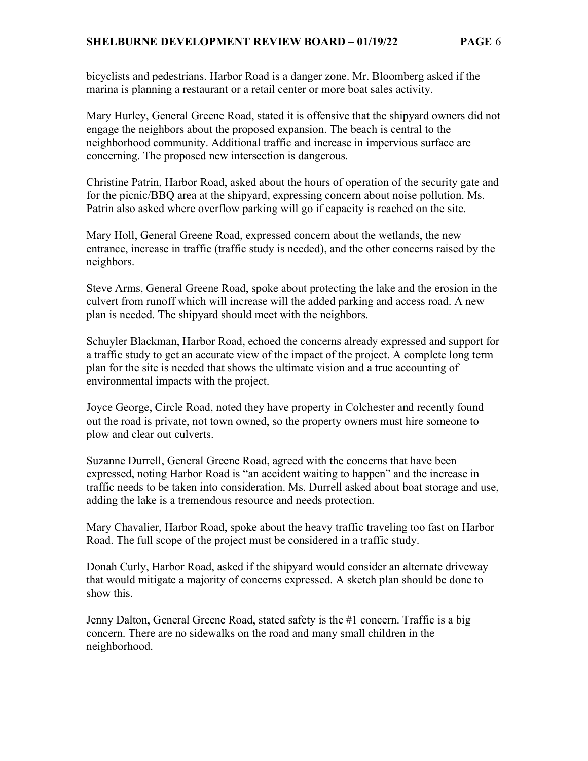bicyclists and pedestrians. Harbor Road is a danger zone. Mr. Bloomberg asked if the marina is planning a restaurant or a retail center or more boat sales activity.

Mary Hurley, General Greene Road, stated it is offensive that the shipyard owners did not engage the neighbors about the proposed expansion. The beach is central to the neighborhood community. Additional traffic and increase in impervious surface are concerning. The proposed new intersection is dangerous.

Christine Patrin, Harbor Road, asked about the hours of operation of the security gate and for the picnic/BBQ area at the shipyard, expressing concern about noise pollution. Ms. Patrin also asked where overflow parking will go if capacity is reached on the site.

Mary Holl, General Greene Road, expressed concern about the wetlands, the new entrance, increase in traffic (traffic study is needed), and the other concerns raised by the neighbors.

Steve Arms, General Greene Road, spoke about protecting the lake and the erosion in the culvert from runoff which will increase will the added parking and access road. A new plan is needed. The shipyard should meet with the neighbors.

Schuyler Blackman, Harbor Road, echoed the concerns already expressed and support for a traffic study to get an accurate view of the impact of the project. A complete long term plan for the site is needed that shows the ultimate vision and a true accounting of environmental impacts with the project.

Joyce George, Circle Road, noted they have property in Colchester and recently found out the road is private, not town owned, so the property owners must hire someone to plow and clear out culverts.

Suzanne Durrell, General Greene Road, agreed with the concerns that have been expressed, noting Harbor Road is "an accident waiting to happen" and the increase in traffic needs to be taken into consideration. Ms. Durrell asked about boat storage and use, adding the lake is a tremendous resource and needs protection.

Mary Chavalier, Harbor Road, spoke about the heavy traffic traveling too fast on Harbor Road. The full scope of the project must be considered in a traffic study.

Donah Curly, Harbor Road, asked if the shipyard would consider an alternate driveway that would mitigate a majority of concerns expressed. A sketch plan should be done to show this.

Jenny Dalton, General Greene Road, stated safety is the #1 concern. Traffic is a big concern. There are no sidewalks on the road and many small children in the neighborhood.